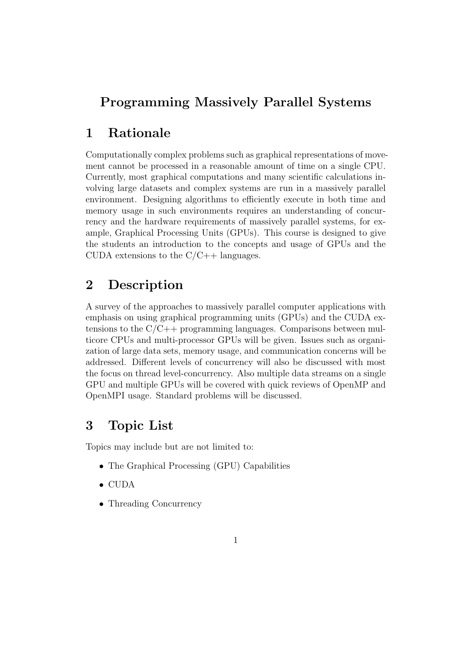# Programming Massively Parallel Systems

### 1 Rationale

Computationally complex problems such as graphical representations of movement cannot be processed in a reasonable amount of time on a single CPU. Currently, most graphical computations and many scientific calculations involving large datasets and complex systems are run in a massively parallel environment. Designing algorithms to efficiently execute in both time and memory usage in such environments requires an understanding of concurrency and the hardware requirements of massively parallel systems, for example, Graphical Processing Units (GPUs). This course is designed to give the students an introduction to the concepts and usage of GPUs and the CUDA extensions to the  $C/C++$  languages.

### 2 Description

A survey of the approaches to massively parallel computer applications with emphasis on using graphical programming units (GPUs) and the CUDA extensions to the  $C/C++$  programming languages. Comparisons between multicore CPUs and multi-processor GPUs will be given. Issues such as organization of large data sets, memory usage, and communication concerns will be addressed. Different levels of concurrency will also be discussed with most the focus on thread level-concurrency. Also multiple data streams on a single GPU and multiple GPUs will be covered with quick reviews of OpenMP and OpenMPI usage. Standard problems will be discussed.

## 3 Topic List

Topics may include but are not limited to:

- The Graphical Processing (GPU) Capabilities
- CUDA
- Threading Concurrency